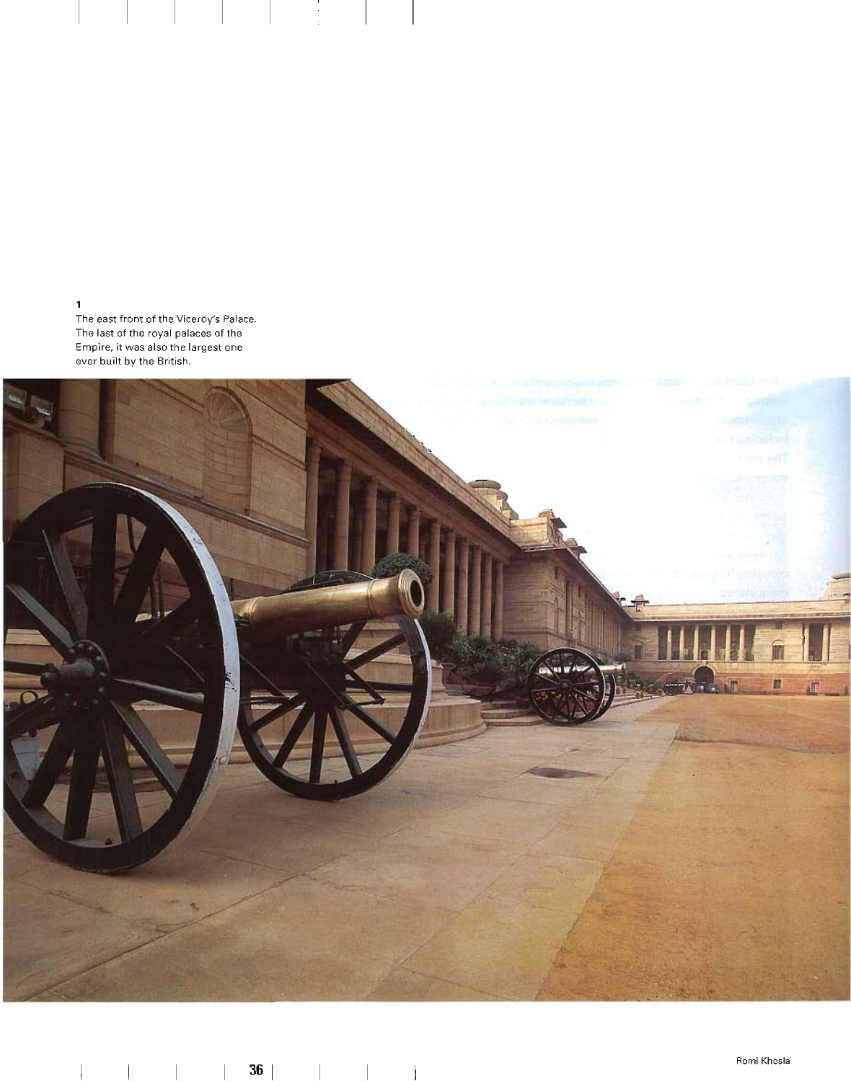1

The east front of the Viceroy's Palace. The last of the royal palaces of the Empire, it was also the largest one ever built by the British.

 $\begin{array}{c} 1 \\ 2 \\ 3 \end{array}$ 

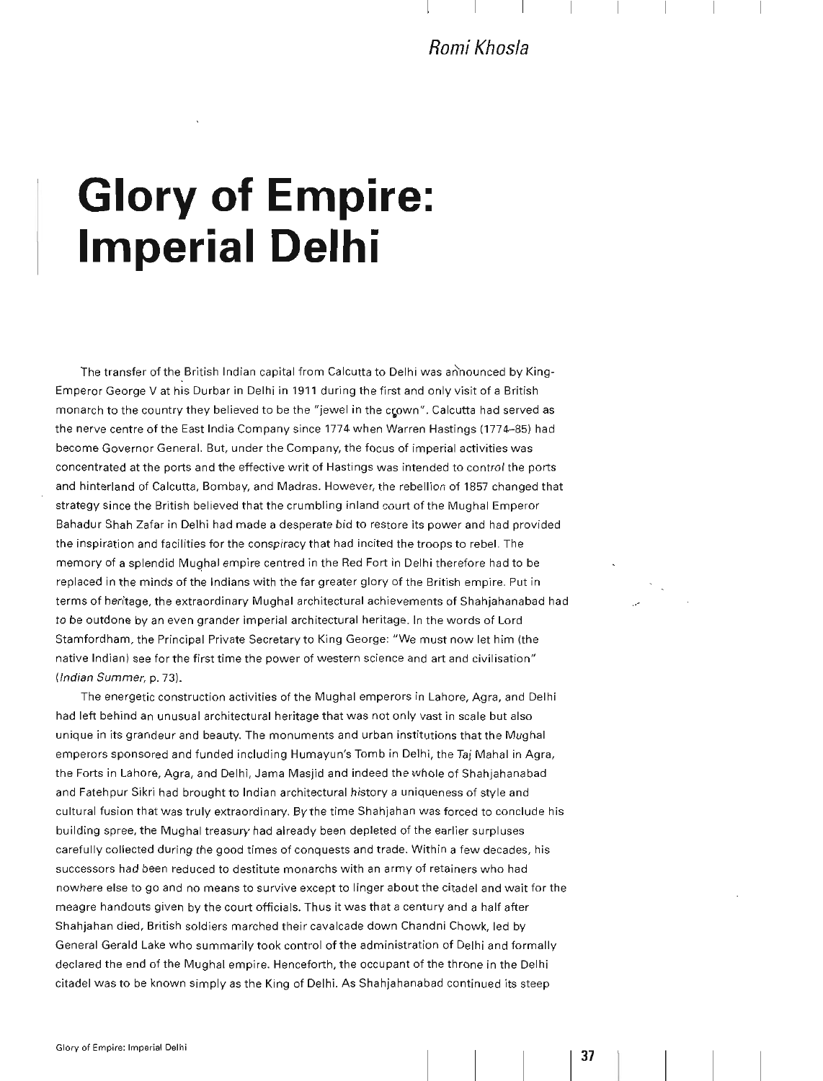**Romi Khosla** 

# **Glory of Empire: Imperial Delhi**

The transfer of the British Indian capital from Calcutta to Delhi was announced by King-Emperor George V at his Durbar in Delhi in 1911 during the first and only visit of a British monarch to the country they believed to be the "jewel in the crown". Calcutta had served as the nerve centre of the East India Company since 1774 when Warren Hastings (1774-85) had become Governor General. But, under the Company, the focus of imperial activities was concentrated at the ports and the effective writ of Hastings was intended to control the ports and hinterland of Calcutta, Bombay, and Madras. However, the rebellion of 1857 changed that strategy since the British believed that the crumbling inland court of the Mughal Emperor Bahadur Shah Zafar in Delhi had made a desperate bid to restore its power and had provided the inspiration and facilities for the conspiracy that had incited the troops to rebel. The memory of a splendid MUQhal empire centred in the Red Fort in Delhi therefore had to be replaced in the minds of the Indians with the far greater glory of the British empire. Put in terms of heritage, the extraordinary Mughal architectural achievements of Shahjahanabad had to be outdone by an even grander imperial architectural heritage. In the words of Lord Stamfordham, the Principal Private Secretary to King George: "We must now let him (the native Indian) see for the first time the power of western science and art and civilisation" (Indian Summer, p. 73).

The energetic construction activities of the Mughal emperors in Lahore, Agra, and Delhi had left behind an unusual architectural heritage that was not only vast in scale but also unique in its grandeur and beauty. The monuments and urban institutions that the Mughal emperors sponsored and funded including Humayun's Tomb in Delhi, the Taj Mahal in Agra, the Forts in Lahore, Agra, and Delhi, Jama Masjid and indeed the whole of Shahjahanabad and Fatehpur Sikri had brought to Indian architectural history a uniqueness of style and cultural fusion that was truly extraordinary. By the time Shahjahan was forced to conclude his building spree, the Mughal treasury had already been depleted of the earlier surpluses carefully collected during the good times of conquests and trade. Within a few decades, his successors had been reduced to destitute monarchs with an army of retainers who had nowhere else to go and no means to survive except to linger about the citadel and wait for the meagre handouts given by the court officials. Thus it was that a century and a half after Shahjahan died, British soldiers marched their cavalcade down Chandni Chowk, led by General Gerald Lake who summarily took control of the administration of Delhi and formally declared the end of the Mughal empire. Henceforth, the occupant of the throne in the Delhi citadel was to be known simply as the King of Delhi. As Shahjahanabad continued its steep

I **37**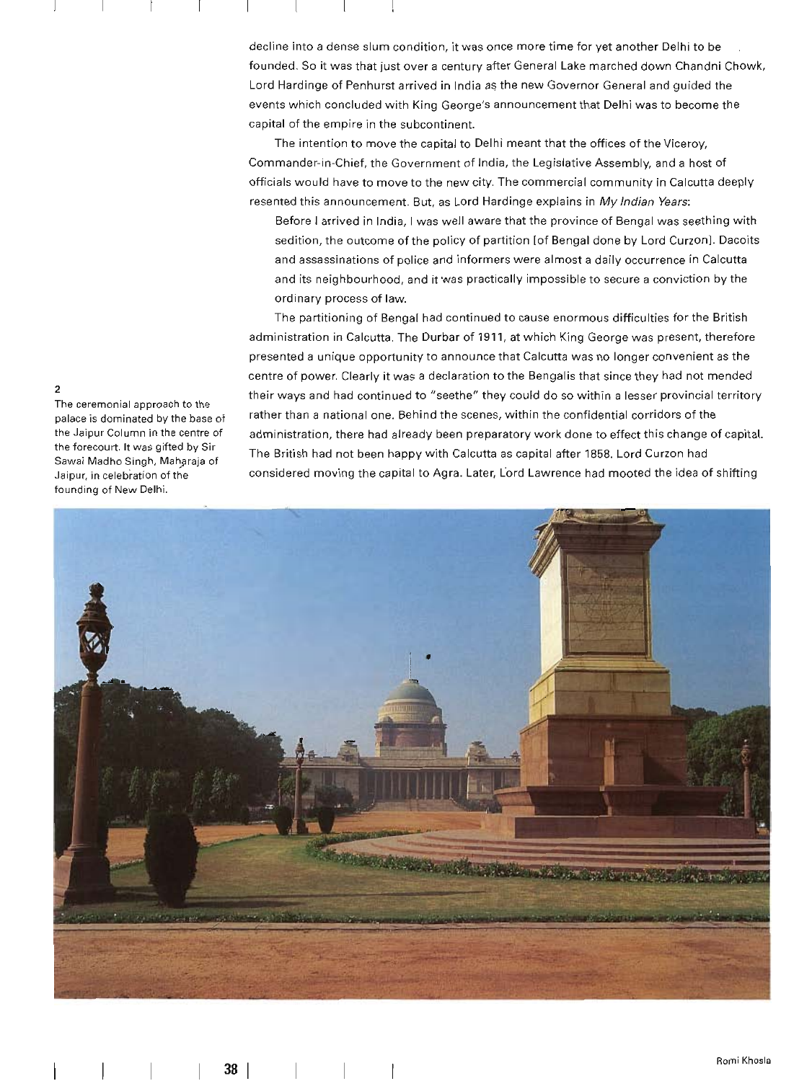decline into a dense slum condition, it was once more time for yet another Delhi to be founded. So it was that just over a century after General Lake marched down Chandni Chowk, Lord Hardinge of Penhurst arrived in India as the new Governor General and guided the events which concluded with King George's announcement that Delhi was to become the capital of the empire in the subcontinent.

The intention to move the capital to Delhi meant that the offices of the Viceroy, Commander-in-Chief, the Government of India, the Legislative Assembly, and a host of officials would have to move to the new city. The commercial community in Calcutta deeply resented this announcement. But, as Lord Hardinge explains in My Indian Years:

Before I arrived in India, I was well aware that the province of Bengal was seething with sedition, the outcome of the policy of partition [of Bengal done by Lord Curzon]. Dacoits and assassinations of police and informers were almost a daily occurrence in Calcutta and its neighbourhood, and it was practically impossible to secure a conviction by the ordinary process of law.

The partitioning of Bengal had continued to cause enormous difficulties for the British administration in Calcutta. The Durbar of 1911, at which King George was present, therefore presented a unique opportunity to announce that Calcutta was no longer convenient as the centre of power. Clearly it was a declaration to the Bengalis that since they had not mended their ways and had continued to "seethe" they could do so within a lesser provincial territory rather than a national one. Behind the scenes, within the confidential corridors of the administration, there had already been preparatory work done to effect this change of capital. The British had not been happy with Calcutta as capital after 1858. Lord Curzon had considered moving the capital to Agra. Later, Lord Lawrence had mooted the idea of shifting



The ceremonial approach to the palace is dominated by the baseof the Jaipur Column in the centre of the forecourt. It was gifted by Sir Sawai Madho Singh, Maharaja of .laipur, in celebration of the founding of New Delhi.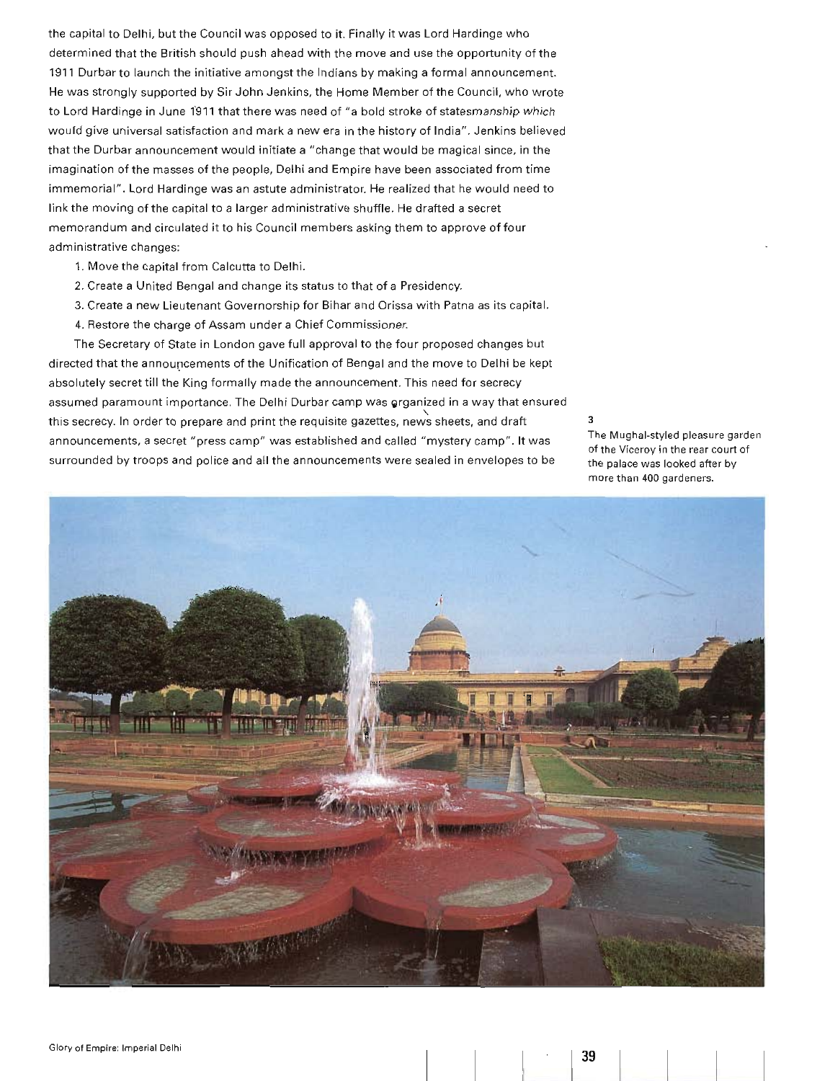the capital to Delhi, but the Council was opposed to it. Finally it was Lord Hardinge who determined that the British should push ahead with the move and use the opportunity of the 1911 Durbar to launch the initiative amongst the Indians by making a formal announcement. He was strongly supported by Sir John Jenkins, the Home Member ofthe Council, who wrote to Lord Hardinge in June 1911 that there was need of "a bold stroke of statesmanship which would give universal satisfaction and mark a new era in the history of India". Jenkins believed that the Durbar announcement would initiate a "change that would be magical since, in the imagination of the masses of the people, Delhi and Empire have been associated from time immemorial". Lord Hardinge was an astute administrator. He realized that he would need to link the moving of the capital to a larger administrative shuffle. He drafted a secret memorandum and circulated it to his Council members asking them to approve of four administrative changes:

- 1. Move the capital from Calcutta to Delhi.
- 2. Create a United Bengal and change its status to that of a Presidency.
- 3. Create a new Lieutenant Governorship for Bihar and Orissa with Patna as its capital.
- 4. Restore the charge of Assam under a Chief Commissioner.

The Secretary of State in London gave full approval to the four proposed changes but directed that the announcements of the Unification of Bengal and the move to Delhi be kept absolutely secret till the King formally made the announcement. This need for secrecy assumed paramount importance. The Delhi Durbar camp was organized in a way that ensured this secrecy. In order to prepare and print the requisite gazettes, news sheets, and draft announcements, a secret "press camp" was established and called "mystery camp". **It** was surrounded by troops and police and all the announcements were sealed in envelopes to be

3

The Mughal-styled pleasure garden of the Viceroy in the rear court of the palace was looked after by more than 400 gardeners.

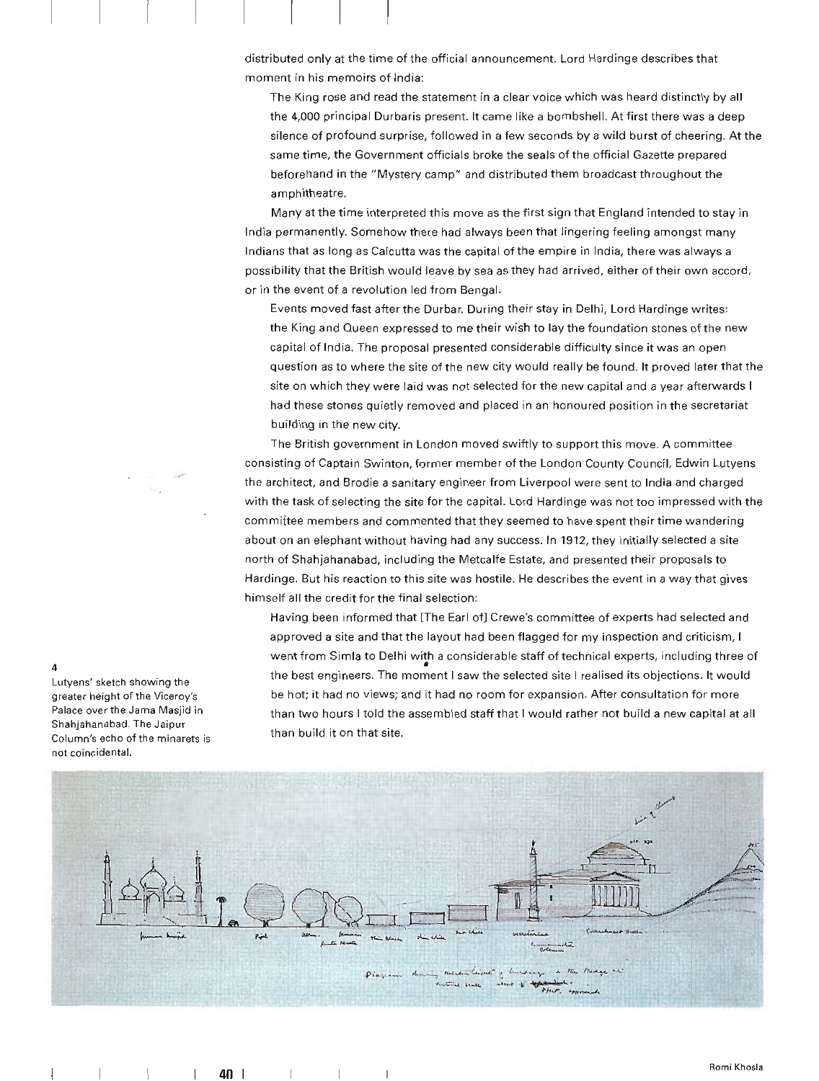distributed only at the time of the official announcement. Lord Hardinge describes that moment in his memoirs of India:

The King rose and read the statement in a clear voice which was heard distinctly by all the 4,000 principal Durbaris present. It came like a bombshell. At first there was a deep silence of profound surprise, followed in a few seconds by a wild burst of cheering. At the same time, the Government officials broke the seals of the official Gazette prepared beforehand in the "Mystery camp" and distributed them broadcast throughout the amphitheatre.

Many at the time interpreted this move as the first sign that England intended to stay in India permanently. Somehow there had always been that lingering feeling amongst many Indians that as long as Calcutta was the capital of the empire in India, there was always a possibility that the British would leave by sea as they had arrived, either of their own accord, or in the event of a revolution led from Bengal.

Events moved fast after the Durbar. During their stay in Delhi, Lord Hardinge writes: the King and Queen expressed to me their wish to lay the foundation stones ofthe new capital of India. The proposal presented considerable difficulty since it was an open question as to where the site of the new city would really be found. It proved later that the site on which they were laid was not selected for the new capital and a year afterwards I had these stones quietly removed and placed in an honoured position in the secretariat building in the new city.

The British government in London moved swiftly to support this move. A committee consisting of Captain Swinton, former member of the London County Council, Edwin Lutyens the architect, and Brodie a sanitary engineer from Liverpool were sent to India and charged with the task of selecting the site for the capital. Lord Hardinge was not too impressed with the committee members and commented that they seemed to have spent their time wandering about on an elephant without having had any success. In 1912, they initially selected a site north of Shahjahanabad, including the Metcalfe Estate, and presented their proposals to Hardinge. But his reaction to this site was hostile. He describes the event in a way that gives himself all the credit for the final selection:

Having been informed that [The Earl of] Crewe's committee of experts had selected and approved a site and that the layout had been flagged for my inspection and criticism, I went from Simla to Delhi with a considerable staff of technical experts, including three of • the best engineers. The moment I saw the selected site I realised its objections. It would be hot; it had no views; and it had no room for expansion. After consultation for more than two hours I told the assembled staff that I would rather not build a new capital at all than build it on that site.



Lutyens' sketch showing the greater height of the Viceroy's Palace over the Jama Masjid in Shahjahanabad. The Jaipur Column's echo of the minarets is not coincidental.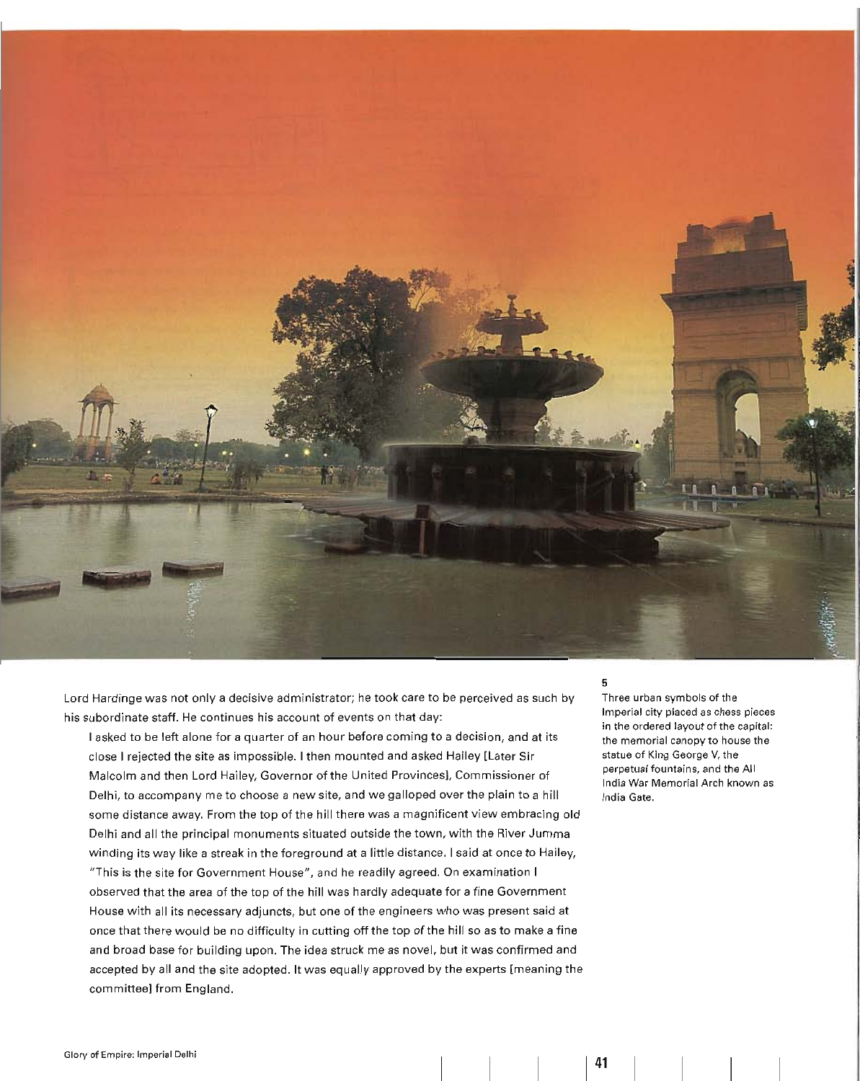

Lord Hardinge was not only a decisive administrator; he took care to be perceived as such by his subordinate staff. He continues his account of events on that day:

I asked to be left alone for a quarter of an hour before coming to a decision, and at its close I rejected the site as impossible. I then mounted and asked Hailey [Later Sir Malcolm and then Lord Hailey, Governor of the United Provincesl, Commissioner of Delhi, to accompany me to choose a new site, and we galloped over the plain to a hill some distance away. From the top of the hill there was a magnificent view embracing old Delhi and all the principal monuments situated outside the town, with the River Jumma winding its way like a streak in the foreground at a little distance. I said at once to Hailey, "This is the site for Government House ", and he readily agreed. On examination I observed that the area of the top of the hill was hardly adequate for a fine Government House with all its necessary adjuncts, but one of the engineers who was present said at once that there would be no difficulty in cutting off the top of the hill so as to make a fine and broad base for building upon. The idea struck me as novel, but it was confirmed and accepted by all and the site adopted. It was equally approved by the experts [meaning the committee] from England.

## 5

Three urban symbols of the Imperial city placed as chess pieces in the ordered layout of the capital: the memorial canopy to house the statue of King George V, the perpetual fountains, and the All India War Mem orial Arch known as India Gate.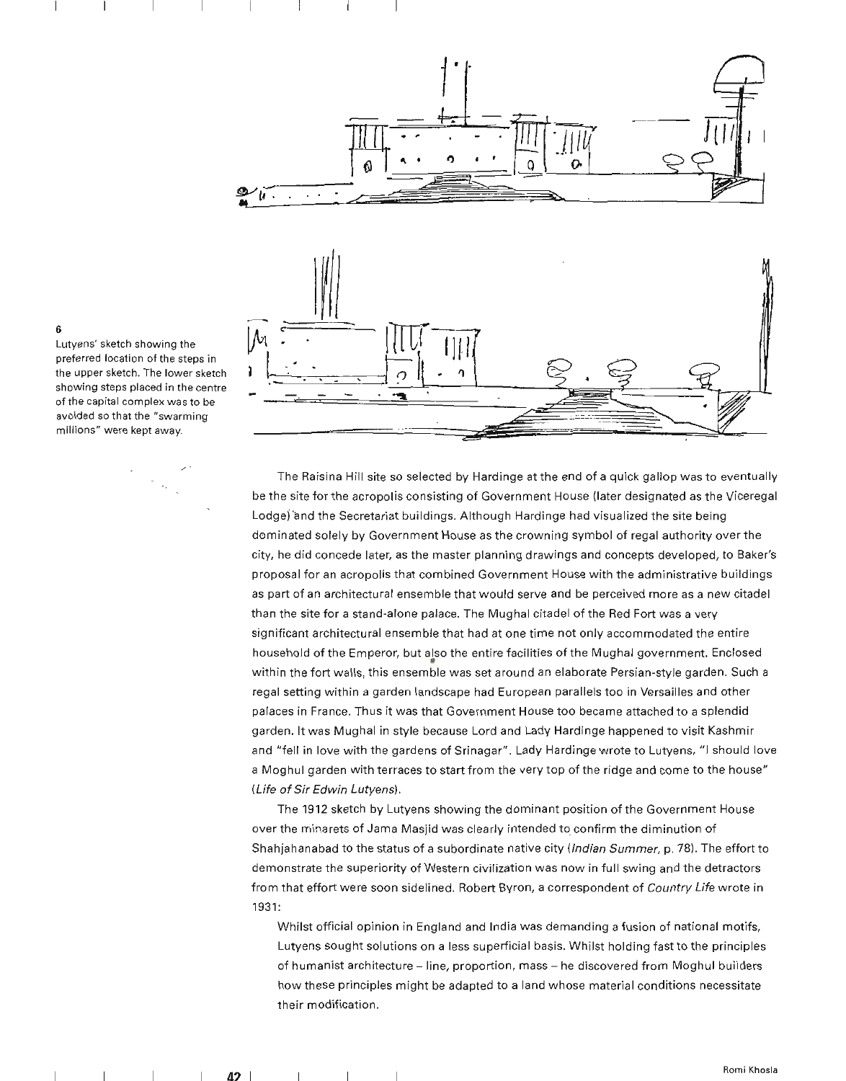

## Lutyens' sketch showing the 6 preferred location of the steps in

the upper sketch. The lower sketch showing steps placed in the centre of the capital complex was to be avoided so that the "swarming millions" were kept away.

,. ,

The Raisina Hill site so selected by Hardinge at the end of a quick gallop was to eventually be the site for the acropolis consisting of Government House (later designated as the Viceregal Lodge) and the Secretariat buildings. Although Hardinge had visualized the site being dominated solely by Government House as the crowning symbol of regal authority over the city, he did concede later, as the master planning drawings and concepts developed, to Baker's proposal for an acropolis that combined Government House with the administrative buildings as part of an architectural ensemble that would serve and be perceived more as a new citadel than the site for a stand-alone palace. The Mughal citadel of the Red Fort was a very significant architectural ensemble that had at one time not only accommodated the entire household of the Emperor, but also the entire facilities of the Mughal government. Enclosed within the fort walls, this ensemble was set around an elaborate Persian-style garden. Such a regal setting within a garden landscape had European parallels too in Versailles and other palaces in France. Thus it was that Government House too became attached to a splendid garden. It was Mughal in style because Lord and Lady Hardinge happened to visit Kashmir and "fell in love with the gardens of Srinagar". Lady Hardinge wrote to Lutyens, "I should love a Moghul garden with terraces to start from the very top of the ridge and come to the house" (Life of Sir Edwin Lutyens).

The 1912 sketch by Lutyens showing the dominant position of the Government House over the minarets of Jama Masjid was clearly intended to confirm the diminution of Shahjahanabad to the status of a subordinate native city (Indian Summer, p. 78). The effort to demonstrate the superiority of Western civilization was now in full swing and the detractors from that effort were soon sidelined. Robert Byron, a correspondent of Country Life wrote in 1931:

Whilst official opinion in England and India was demanding a fusion of national motifs, Lutyens sought solutions on a less superficial basis. Whilst holding fast to the principles of humanist architecture - line, proportion, mass - he discovered from Moghul builders how these principles might be adapted to a land whose material conditions necessitate their modification.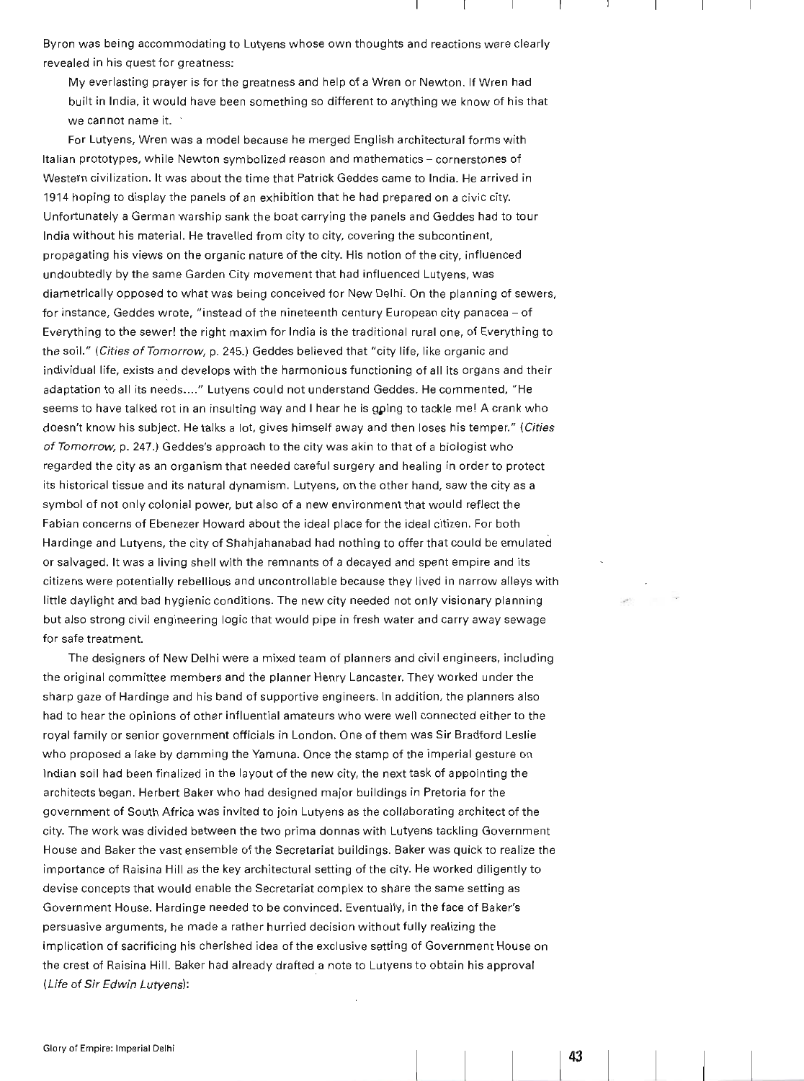Byron was being accommodating to Lutyens whose own thoughts and reactions were clearly revealed in his quest for greatness:

My everlasting prayer is for the greatness and help of a Wren or Newton. If Wren had built in India, it would have been something so different to anything we know of his that we cannot name it.

For Lutyens, Wren was a model because he merged English architectural forms with Italian prototypes, while Newton symbolized reason and mathematics - cornerstones of Western civilization. It was about the time that Patrick Geddes came to India. He arrived in 1914 hoping to display the panels of an exhibition that he had prepared on a civic city. Unfortunately a German warship sank the boat carrying the panels and Geddes had to tour India without his material. He travelled from city to city, covering the subcontinent, propagating his views on the organic nature of the city. His notion of the city, influenced undoubtedly by the same Garden City movement that had influenced Lutyens, was diametrically opposed to what was being conceived for New Delhi. On the planning of sewers, for instance, Geddes wrote, "instead of the nineteenth century European city panacea - of Everything to the sewer! the right maxim for India is the traditional rural one, of Everyth ing to the soil." (Cities of Tomorrow, p. 245.) Geddes believed that "city life, like organic and individual life, exists and develops with the harmonious functioning of all its organs and their adaptation to all its needs...." Lutyens could not understand Geddes. He commented, "He seems to have talked rot in an insulting way and I hear he is going to tackle me! A crank who doesn't know his subject. He talks a lot, gives himself away and then loses his temper." (Cities of Tomorrow, p. 247.) Geddes's approach to the city was akin to that of a biologist who regarded the city as an organism that needed careful surgery and healing in order to protect its historical tissue and its natural dynamism. Lutyens, on the other hand, saw the city as a symbol of not only colonial power, but also of a new environment that would reflect the Fabian concerns of Ebenezer Howard about the ideal place for the ideal citizen. For both Hardinge and Lutyens, the city of Shahjahanabad had nothing to offer that could be emulated or salvaged. It was a living shell with the remnants of a decayed and spent empire and its citizens were potentially rebellious and uncontrollable because they lived in narrow alleys with little daylight and bad hygienic conditions. The new city needed not only visionary planning but also strong civil engineering logic that would pipe in fresh water and carry away sewage for safe treatment.

The designers of New Delhi were a mixed team of planners and civil engineers, including the original committee members and the planner Henry Lancaster. They worked under the sharp gaze of Hardinge and his band of supportive engineers. In addition, the planners also had to hear the opinions of other influential amateurs who were well connected either to the royal family or senior government officials in London. One of them was Sir Bradford Leslie who proposed a lake by damming the Yamuna. Once the stamp of the imperial gesture on Indian soil had been finalized in the layout of the new city, the next task of appointing the architects began. Herbert Baker who had designed major buildings in Pretoria for the government of South Africa was invited to join Lutyens as the collaborating architect of the city. The work was divided between the two prima donnas with Lutyens tackling Government House and Baker the vast ensemble of the Secretariat buildings. Baker was quick to realize the importance of Raisina Hill as the key architectural setting of the city. He worked diligently to devise concepts that would enable the Secretariat complex to share the same setting as Government House. Hardinge needed to be convinced. Eventually, in the face of Baker's persuasive arguments, he made a rather hurried decision with out **fu**Ily realizing the implication of sacrificing his cherished idea of the exclusive setting of Government House on the crest of Raisina Hill. Baker had already drafted a note to Lutyens to obtain his approval (Life of Sir Edwin Lutyens):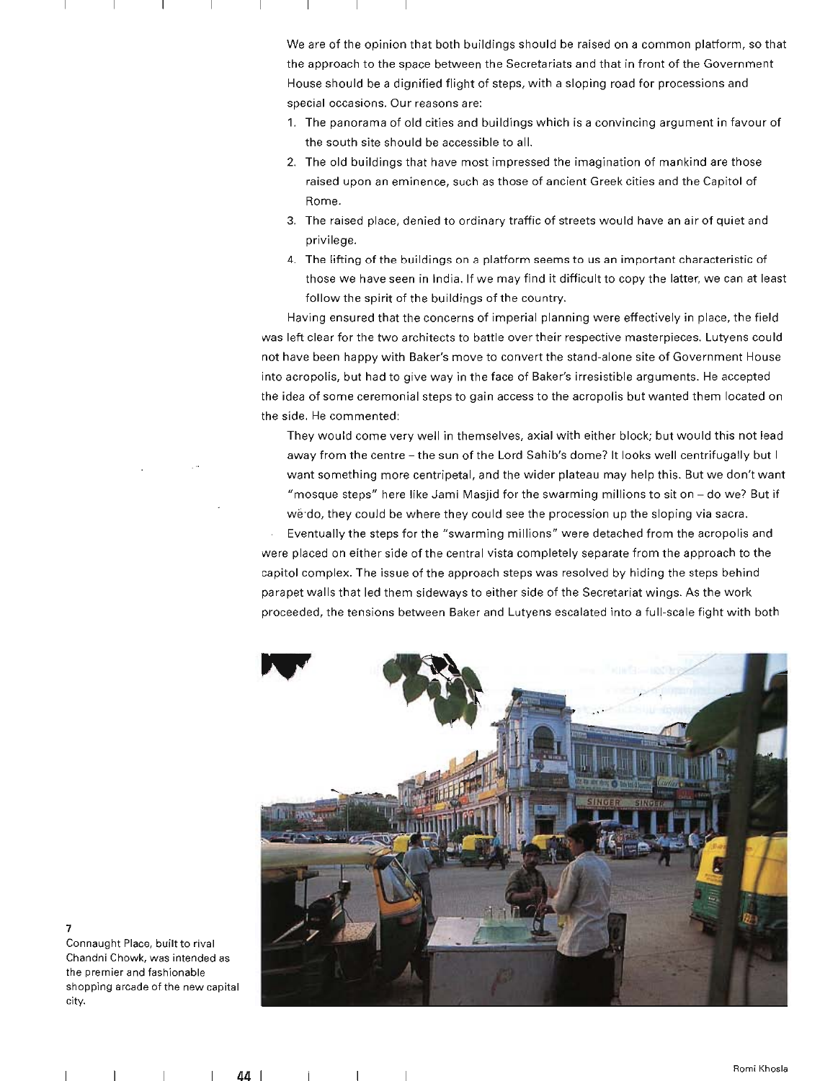We are of the opinion that both buildings should be raised on a common platform, so that the approach to the space between the Secretariats and that in front of the Government House should be a dignified flight of steps, with a sloping road for processions and special occasions. Our reasons are:

- 1. The panorama of old cities and buildings which is a convincing argument in favour of the south site should be accessible to all.
- 2. The old buildings that have most impressed the imagination of mankind are those raised upon an eminence, such as those of ancient Greek cities and the Capitol of Rome.
- 3. The raised place, denied to ordinary traffic of streets would have an air of quiet and privilege.
- 4. The lifting of the buildings on a platform seems to us an important characteristic of those we have seen in India. If we may find it difficult to copy the latter, we can at least follow the spirit of the buildings of the country.

Having ensured that the concerns of imperial planning were effectively in place , the field was left clear for the two architects to battle over their respective masterpieces. Lutyens could not have been happy with Baker's move to convert the stand-alone site of Government House into acropolis, but had to give way in the face of Baker's irresistible arguments. He accepted the idea of some ceremonial steps to gain access to the acropolis but wanted them located on the side. He commented:

They would come very well in themselves, axial with either block; but would this not lead away from the centre - the sun of the Lord Sahib's dome? It looks well centrifugally but I want something more centripetal, and the wider plateau may help this. But we don't want "mosque steps" here like Jami Masjid for the swarming millions to sit on - do we? But if wedo, they could be where they could see the procession up the sloping via sacra. Eventually the steps for the "swarming millions" were detached from the acropolis and were placed on either side of the central vista completely separate from the approach to the capitol complex. The issue of the approach steps was resolved by hiding the steps behind parapet walls that led them sideways to either side of the Secretariat wings. As the work proceeded, the tensions between Baker and Lutyens escalated into a full-scale fight with both



Connaught Place, built to rival Chandni Chowk, was intended as the premier and fashionable shopping arcade of the new capital city.